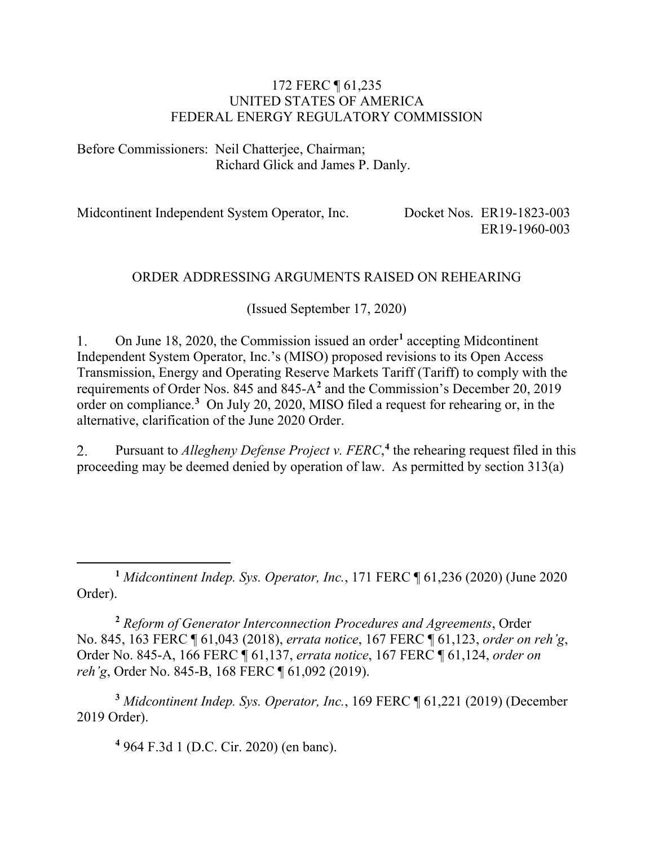#### 172 FERC ¶ 61,235 UNITED STATES OF AMERICA FEDERAL ENERGY REGULATORY COMMISSION

Before Commissioners: Neil Chatterjee, Chairman; Richard Glick and James P. Danly.

Midcontinent Independent System Operator, Inc. Docket Nos. ER19-1823-003 ER19-1960-003

#### ORDER ADDRESSING ARGUMENTS RAISED ON REHEARING

(Issued September 17, 2020)

1. On June 18, 2020, the Commission issued an order**[1](#page-0-0)** accepting Midcontinent Independent System Operator, Inc.'s (MISO) proposed revisions to its Open Access Transmission, Energy and Operating Reserve Markets Tariff (Tariff) to comply with the requirements of Order Nos. 845 and 845-A**[2](#page-0-1)** and the Commission's December 20, 2019 order on compliance.**[3](#page-0-2)** On July 20, 2020, MISO filed a request for rehearing or, in the alternative, clarification of the June 2020 Order.

Pursuant to *Allegheny Defense Project v. FERC*,<sup>[4](#page-0-3)</sup> the rehearing request filed in this  $2.$ proceeding may be deemed denied by operation of law. As permitted by section 313(a)

<span id="page-0-0"></span>**<sup>1</sup>** *Midcontinent Indep. Sys. Operator, Inc.*, 171 FERC ¶ 61,236 (2020) (June 2020 Order).

<span id="page-0-1"></span>**<sup>2</sup>** *Reform of Generator Interconnection Procedures and Agreements*, Order No. 845, 163 FERC ¶ 61,043 (2018), *errata notice*, 167 FERC ¶ 61,123, *order on reh'g*, Order No. 845-A, 166 FERC ¶ 61,137, *errata notice*, 167 FERC ¶ 61,124, *order on reh'g*, Order No. 845-B, 168 FERC ¶ 61,092 (2019).

<span id="page-0-3"></span><span id="page-0-2"></span>**<sup>3</sup>** *Midcontinent Indep. Sys. Operator, Inc.*, 169 FERC ¶ 61,221 (2019) (December 2019 Order).

**<sup>4</sup>** 964 F.3d 1 (D.C. Cir. 2020) (en banc).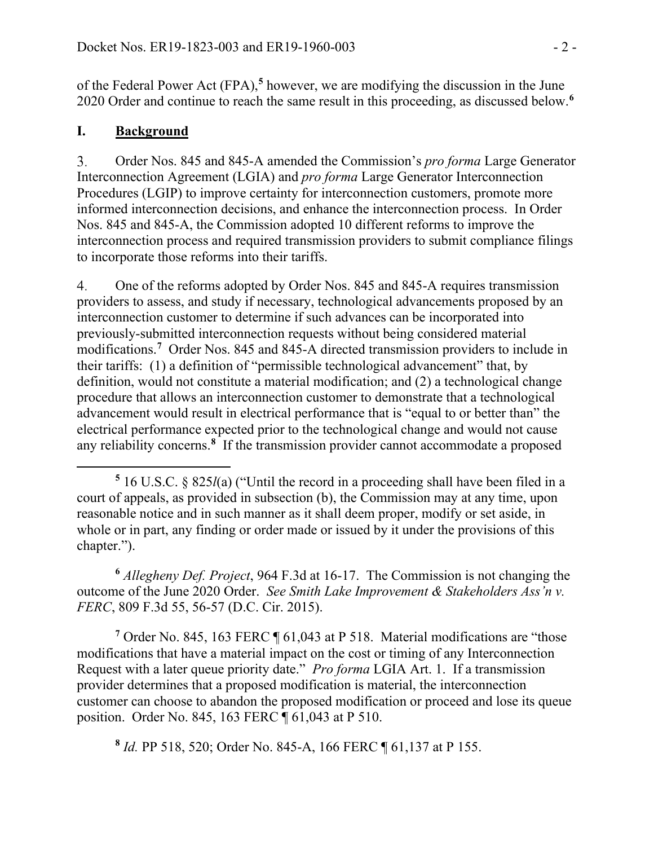of the Federal Power Act (FPA), **[5](#page-1-0)** however, we are modifying the discussion in the June 2020 Order and continue to reach the same result in this proceeding, as discussed below.**[6](#page-1-1)**

### **I. Background**

 $3<sub>1</sub>$ Order Nos. 845 and 845-A amended the Commission's *pro forma* Large Generator Interconnection Agreement (LGIA) and *pro forma* Large Generator Interconnection Procedures (LGIP) to improve certainty for interconnection customers, promote more informed interconnection decisions, and enhance the interconnection process. In Order Nos. 845 and 845-A, the Commission adopted 10 different reforms to improve the interconnection process and required transmission providers to submit compliance filings to incorporate those reforms into their tariffs.

 $\overline{4}$ . One of the reforms adopted by Order Nos. 845 and 845-A requires transmission providers to assess, and study if necessary, technological advancements proposed by an interconnection customer to determine if such advances can be incorporated into previously-submitted interconnection requests without being considered material modifications.**[7](#page-1-2)** Order Nos. 845 and 845-A directed transmission providers to include in their tariffs: (1) a definition of "permissible technological advancement" that, by definition, would not constitute a material modification; and (2) a technological change procedure that allows an interconnection customer to demonstrate that a technological advancement would result in electrical performance that is "equal to or better than" the electrical performance expected prior to the technological change and would not cause any reliability concerns.**[8](#page-1-3)** If the transmission provider cannot accommodate a proposed

<span id="page-1-1"></span>**<sup>6</sup>** *Allegheny Def. Project*, 964 F.3d at 16-17. The Commission is not changing the outcome of the June 2020 Order. *See Smith Lake Improvement & Stakeholders Ass'n v. FERC*, 809 F.3d 55, 56-57 (D.C. Cir. 2015).

<span id="page-1-2"></span><sup>7</sup> Order No. 845, 163 FERC ¶ 61,043 at P 518. Material modifications are "those modifications that have a material impact on the cost or timing of any Interconnection Request with a later queue priority date." *Pro forma* LGIA Art. 1. If a transmission provider determines that a proposed modification is material, the interconnection customer can choose to abandon the proposed modification or proceed and lose its queue position. Order No. 845, 163 FERC ¶ 61,043 at P 510.

<span id="page-1-3"></span>**<sup>8</sup>** *Id.* PP 518, 520; Order No. 845-A, 166 FERC ¶ 61,137 at P 155.

<span id="page-1-0"></span>**<sup>5</sup>** 16 U.S.C. § 825*l*(a) ("Until the record in a proceeding shall have been filed in a court of appeals, as provided in subsection (b), the Commission may at any time, upon reasonable notice and in such manner as it shall deem proper, modify or set aside, in whole or in part, any finding or order made or issued by it under the provisions of this chapter.").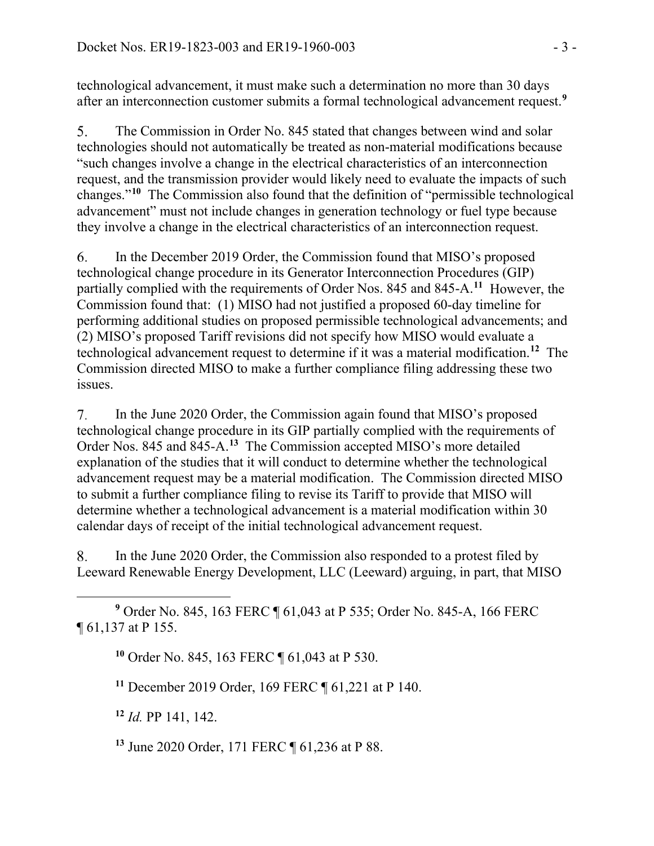technological advancement, it must make such a determination no more than 30 days after an interconnection customer submits a formal technological advancement request.**[9](#page-2-0)**

 $5<sub>1</sub>$ The Commission in Order No. 845 stated that changes between wind and solar technologies should not automatically be treated as non-material modifications because "such changes involve a change in the electrical characteristics of an interconnection request, and the transmission provider would likely need to evaluate the impacts of such changes."**[10](#page-2-1)** The Commission also found that the definition of "permissible technological advancement" must not include changes in generation technology or fuel type because they involve a change in the electrical characteristics of an interconnection request.

In the December 2019 Order, the Commission found that MISO's proposed 6. technological change procedure in its Generator Interconnection Procedures (GIP) partially complied with the requirements of Order Nos. 845 and 845-A.**[11](#page-2-2)** However, the Commission found that: (1) MISO had not justified a proposed 60-day timeline for performing additional studies on proposed permissible technological advancements; and (2) MISO's proposed Tariff revisions did not specify how MISO would evaluate a technological advancement request to determine if it was a material modification.**[12](#page-2-3)** The Commission directed MISO to make a further compliance filing addressing these two issues.

7. In the June 2020 Order, the Commission again found that MISO's proposed technological change procedure in its GIP partially complied with the requirements of Order Nos. 845 and 845-A.**[13](#page-2-4)** The Commission accepted MISO's more detailed explanation of the studies that it will conduct to determine whether the technological advancement request may be a material modification. The Commission directed MISO to submit a further compliance filing to revise its Tariff to provide that MISO will determine whether a technological advancement is a material modification within 30 calendar days of receipt of the initial technological advancement request.

8. In the June 2020 Order, the Commission also responded to a protest filed by Leeward Renewable Energy Development, LLC (Leeward) arguing, in part, that MISO

<span id="page-2-2"></span><span id="page-2-1"></span><span id="page-2-0"></span>**<sup>9</sup>** Order No. 845, 163 FERC ¶ 61,043 at P 535; Order No. 845-A, 166 FERC ¶ 61,137 at P 155.

**<sup>10</sup>** Order No. 845, 163 FERC ¶ 61,043 at P 530.

**<sup>11</sup>** December 2019 Order, 169 FERC ¶ 61,221 at P 140.

<span id="page-2-3"></span>**<sup>12</sup>** *Id.* PP 141, 142.

<span id="page-2-4"></span>**<sup>13</sup>** June 2020 Order, 171 FERC ¶ 61,236 at P 88.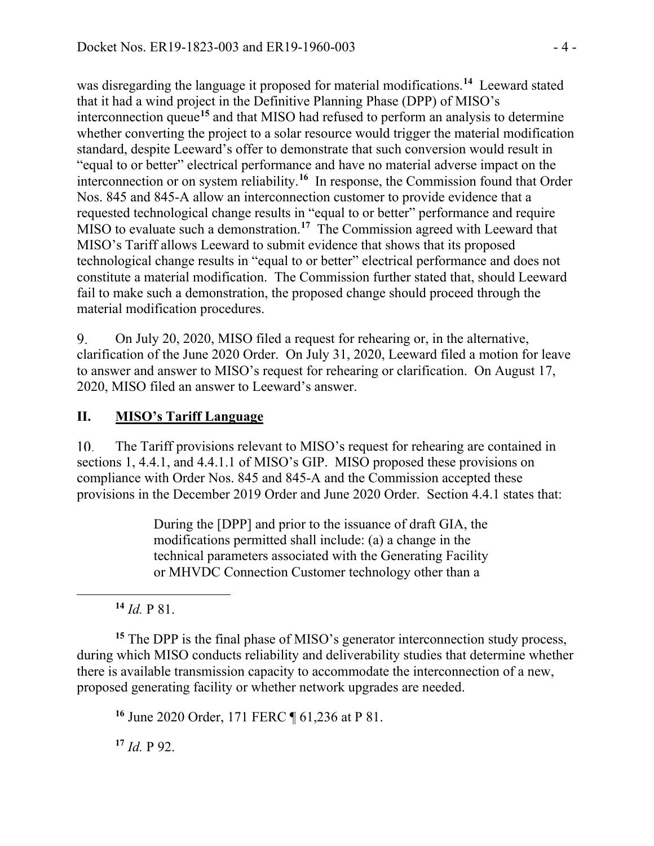was disregarding the language it proposed for material modifications.**[14](#page-3-0)** Leeward stated that it had a wind project in the Definitive Planning Phase (DPP) of MISO's interconnection queue**[15](#page-3-1)** and that MISO had refused to perform an analysis to determine whether converting the project to a solar resource would trigger the material modification standard, despite Leeward's offer to demonstrate that such conversion would result in "equal to or better" electrical performance and have no material adverse impact on the interconnection or on system reliability.**[16](#page-3-2)** In response, the Commission found that Order Nos. 845 and 845-A allow an interconnection customer to provide evidence that a requested technological change results in "equal to or better" performance and require MISO to evaluate such a demonstration.**[17](#page-3-3)** The Commission agreed with Leeward that MISO's Tariff allows Leeward to submit evidence that shows that its proposed technological change results in "equal to or better" electrical performance and does not constitute a material modification. The Commission further stated that, should Leeward fail to make such a demonstration, the proposed change should proceed through the material modification procedures.

9. On July 20, 2020, MISO filed a request for rehearing or, in the alternative, clarification of the June 2020 Order. On July 31, 2020, Leeward filed a motion for leave to answer and answer to MISO's request for rehearing or clarification. On August 17, 2020, MISO filed an answer to Leeward's answer.

## **II. MISO's Tariff Language**

10. The Tariff provisions relevant to MISO's request for rehearing are contained in sections 1, 4.4.1, and 4.4.1.1 of MISO's GIP. MISO proposed these provisions on compliance with Order Nos. 845 and 845-A and the Commission accepted these provisions in the December 2019 Order and June 2020 Order. Section 4.4.1 states that:

> During the [DPP] and prior to the issuance of draft GIA, the modifications permitted shall include: (a) a change in the technical parameters associated with the Generating Facility or MHVDC Connection Customer technology other than a

 $^{14}$  *Id.* P 81.

<span id="page-3-2"></span><span id="page-3-1"></span><span id="page-3-0"></span>**<sup>15</sup>** The DPP is the final phase of MISO's generator interconnection study process, during which MISO conducts reliability and deliverability studies that determine whether there is available transmission capacity to accommodate the interconnection of a new, proposed generating facility or whether network upgrades are needed.

**<sup>16</sup>** June 2020 Order, 171 FERC ¶ 61,236 at P 81.

<span id="page-3-3"></span>**<sup>17</sup>** *Id.* P 92.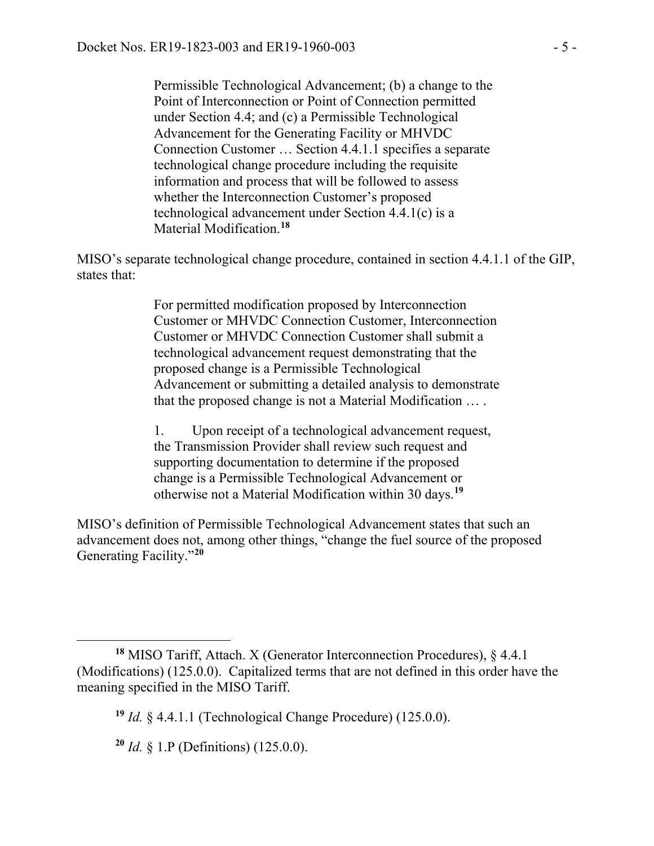Permissible Technological Advancement; (b) a change to the Point of Interconnection or Point of Connection permitted under Section 4.4; and (c) a Permissible Technological Advancement for the Generating Facility or MHVDC Connection Customer … Section 4.4.1.1 specifies a separate technological change procedure including the requisite information and process that will be followed to assess whether the Interconnection Customer's proposed technological advancement under Section 4.4.1(c) is a Material Modification.**[18](#page-4-0)**

MISO's separate technological change procedure, contained in section 4.4.1.1 of the GIP, states that:

> For permitted modification proposed by Interconnection Customer or MHVDC Connection Customer, Interconnection Customer or MHVDC Connection Customer shall submit a technological advancement request demonstrating that the proposed change is a Permissible Technological Advancement or submitting a detailed analysis to demonstrate that the proposed change is not a Material Modification … .

1. Upon receipt of a technological advancement request, the Transmission Provider shall review such request and supporting documentation to determine if the proposed change is a Permissible Technological Advancement or otherwise not a Material Modification within 30 days.**[19](#page-4-1)**

MISO's definition of Permissible Technological Advancement states that such an advancement does not, among other things, "change the fuel source of the proposed Generating Facility."**[20](#page-4-2)**

<span id="page-4-1"></span><span id="page-4-0"></span>**<sup>18</sup>** MISO Tariff, Attach. X (Generator Interconnection Procedures), § 4.4.1 (Modifications) (125.0.0). Capitalized terms that are not defined in this order have the meaning specified in the MISO Tariff.

**<sup>19</sup>** *Id.* § 4.4.1.1 (Technological Change Procedure) (125.0.0).

<span id="page-4-2"></span>**<sup>20</sup>** *Id.* § 1.P (Definitions) (125.0.0).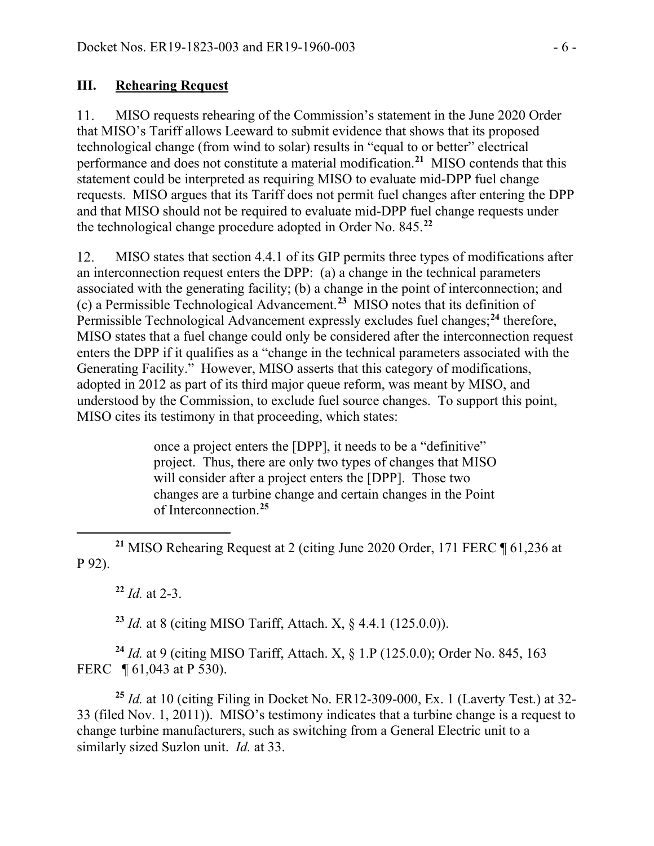#### **III. Rehearing Request**

MISO requests rehearing of the Commission's statement in the June 2020 Order 11. that MISO's Tariff allows Leeward to submit evidence that shows that its proposed technological change (from wind to solar) results in "equal to or better" electrical performance and does not constitute a material modification.**[21](#page-5-0)** MISO contends that this statement could be interpreted as requiring MISO to evaluate mid-DPP fuel change requests. MISO argues that its Tariff does not permit fuel changes after entering the DPP and that MISO should not be required to evaluate mid-DPP fuel change requests under the technological change procedure adopted in Order No. 845.**[22](#page-5-1)**

MISO states that section 4.4.1 of its GIP permits three types of modifications after 12. an interconnection request enters the DPP: (a) a change in the technical parameters associated with the generating facility; (b) a change in the point of interconnection; and (c) a Permissible Technological Advancement.**[23](#page-5-2)** MISO notes that its definition of Permissible Technological Advancement expressly excludes fuel changes; **[24](#page-5-3)** therefore, MISO states that a fuel change could only be considered after the interconnection request enters the DPP if it qualifies as a "change in the technical parameters associated with the Generating Facility." However, MISO asserts that this category of modifications, adopted in 2012 as part of its third major queue reform, was meant by MISO, and understood by the Commission, to exclude fuel source changes. To support this point, MISO cites its testimony in that proceeding, which states:

> once a project enters the [DPP], it needs to be a "definitive" project. Thus, there are only two types of changes that MISO will consider after a project enters the [DPP]. Those two changes are a turbine change and certain changes in the Point of Interconnection.**[25](#page-5-4)**

<span id="page-5-1"></span><span id="page-5-0"></span>**<sup>21</sup>** MISO Rehearing Request at 2 (citing June 2020 Order, 171 FERC ¶ 61,236 at P 92).

**<sup>22</sup>** *Id.* at 2-3.

**<sup>23</sup>** *Id.* at 8 (citing MISO Tariff, Attach. X, § 4.4.1 (125.0.0)).

<span id="page-5-3"></span><span id="page-5-2"></span>**<sup>24</sup>** *Id.* at 9 (citing MISO Tariff, Attach. X, § 1.P (125.0.0); Order No. 845, 163 FERC **[61,043 at P 530).** 

<span id="page-5-4"></span>**<sup>25</sup>** *Id.* at 10 (citing Filing in Docket No. ER12-309-000, Ex. 1 (Laverty Test.) at 32- 33 (filed Nov. 1, 2011)). MISO's testimony indicates that a turbine change is a request to change turbine manufacturers, such as switching from a General Electric unit to a similarly sized Suzlon unit. *Id.* at 33.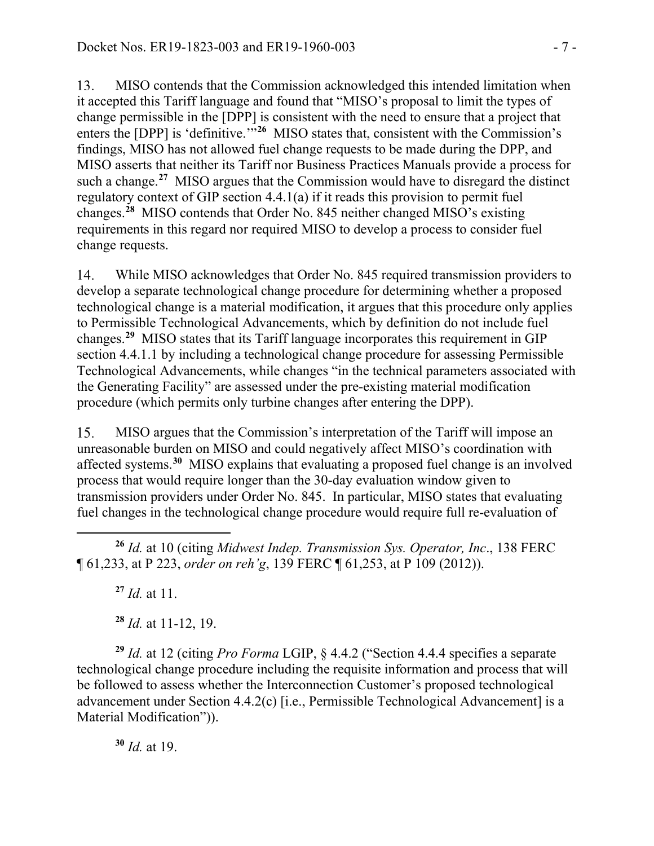13. MISO contends that the Commission acknowledged this intended limitation when it accepted this Tariff language and found that "MISO's proposal to limit the types of change permissible in the [DPP] is consistent with the need to ensure that a project that enters the [DPP] is 'definitive.'<sup>"[26](#page-6-0)</sup> MISO states that, consistent with the Commission's findings, MISO has not allowed fuel change requests to be made during the DPP, and MISO asserts that neither its Tariff nor Business Practices Manuals provide a process for such a change.**[27](#page-6-1)** MISO argues that the Commission would have to disregard the distinct regulatory context of GIP section 4.4.1(a) if it reads this provision to permit fuel changes.**[28](#page-6-2)** MISO contends that Order No. 845 neither changed MISO's existing requirements in this regard nor required MISO to develop a process to consider fuel change requests.

14. While MISO acknowledges that Order No. 845 required transmission providers to develop a separate technological change procedure for determining whether a proposed technological change is a material modification, it argues that this procedure only applies to Permissible Technological Advancements, which by definition do not include fuel changes. **[29](#page-6-3)** MISO states that its Tariff language incorporates this requirement in GIP section 4.4.1.1 by including a technological change procedure for assessing Permissible Technological Advancements, while changes "in the technical parameters associated with the Generating Facility" are assessed under the pre-existing material modification procedure (which permits only turbine changes after entering the DPP).

15. MISO argues that the Commission's interpretation of the Tariff will impose an unreasonable burden on MISO and could negatively affect MISO's coordination with affected systems.**[30](#page-6-4)** MISO explains that evaluating a proposed fuel change is an involved process that would require longer than the 30-day evaluation window given to transmission providers under Order No. 845. In particular, MISO states that evaluating fuel changes in the technological change procedure would require full re-evaluation of

<span id="page-6-1"></span><span id="page-6-0"></span>**<sup>26</sup>** *Id.* at 10 (citing *Midwest Indep. Transmission Sys. Operator, Inc*., 138 FERC ¶ 61,233, at P 223, *order on reh'g*, 139 FERC ¶ 61,253, at P 109 (2012)).

**<sup>27</sup>** *Id.* at 11.

**<sup>28</sup>** *Id.* at 11-12, 19.

<span id="page-6-3"></span><span id="page-6-2"></span>**<sup>29</sup>** *Id.* at 12 (citing *Pro Forma* LGIP, § 4.4.2 ("Section 4.4.4 specifies a separate technological change procedure including the requisite information and process that will be followed to assess whether the Interconnection Customer's proposed technological advancement under Section 4.4.2(c) [i.e., Permissible Technological Advancement] is a Material Modification")).

<span id="page-6-4"></span>**<sup>30</sup>** *Id.* at 19.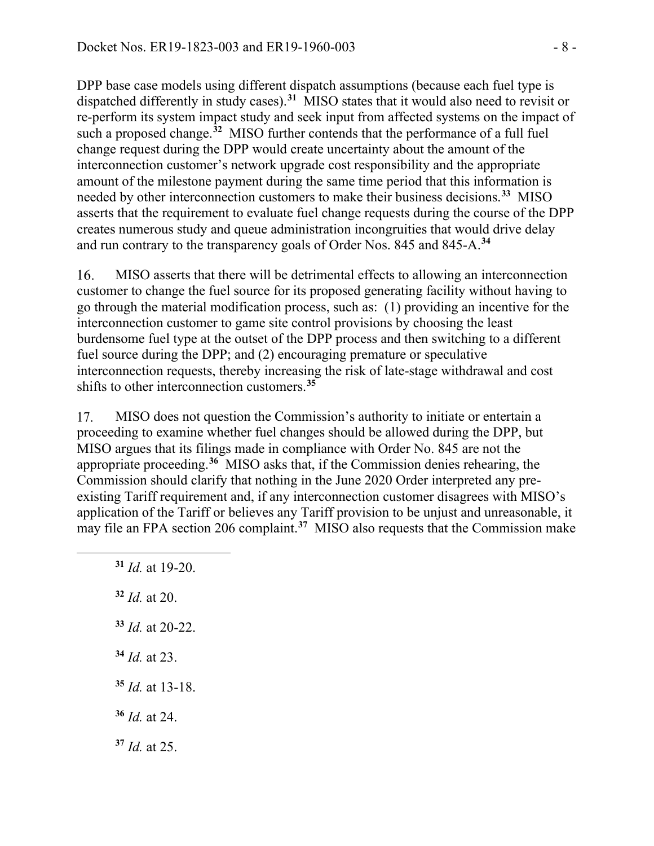DPP base case models using different dispatch assumptions (because each fuel type is dispatched differently in study cases).**[31](#page-7-0)** MISO states that it would also need to revisit or re-perform its system impact study and seek input from affected systems on the impact of such a proposed change.**[32](#page-7-1)** MISO further contends that the performance of a full fuel change request during the DPP would create uncertainty about the amount of the interconnection customer's network upgrade cost responsibility and the appropriate amount of the milestone payment during the same time period that this information is needed by other interconnection customers to make their business decisions.**[33](#page-7-2)** MISO asserts that the requirement to evaluate fuel change requests during the course of the DPP creates numerous study and queue administration incongruities that would drive delay and run contrary to the transparency goals of Order Nos. 845 and 845-A.**[34](#page-7-3)**

16. MISO asserts that there will be detrimental effects to allowing an interconnection customer to change the fuel source for its proposed generating facility without having to go through the material modification process, such as: (1) providing an incentive for the interconnection customer to game site control provisions by choosing the least burdensome fuel type at the outset of the DPP process and then switching to a different fuel source during the DPP; and (2) encouraging premature or speculative interconnection requests, thereby increasing the risk of late-stage withdrawal and cost shifts to other interconnection customers.**[35](#page-7-4)**

17. MISO does not question the Commission's authority to initiate or entertain a proceeding to examine whether fuel changes should be allowed during the DPP, but MISO argues that its filings made in compliance with Order No. 845 are not the appropriate proceeding.**[36](#page-7-5)** MISO asks that, if the Commission denies rehearing, the Commission should clarify that nothing in the June 2020 Order interpreted any preexisting Tariff requirement and, if any interconnection customer disagrees with MISO's application of the Tariff or believes any Tariff provision to be unjust and unreasonable, it may file an FPA section 206 complaint.<sup>[37](#page-7-6)</sup> MISO also requests that the Commission make

<span id="page-7-6"></span><span id="page-7-5"></span><span id="page-7-4"></span><span id="page-7-3"></span><span id="page-7-2"></span><span id="page-7-1"></span><span id="page-7-0"></span> *Id.* at 19-20. *Id.* at 20. *Id.* at 20-22. *Id.* at 23. *Id.* at 13-18. *Id.* at 24. *Id.* at 25.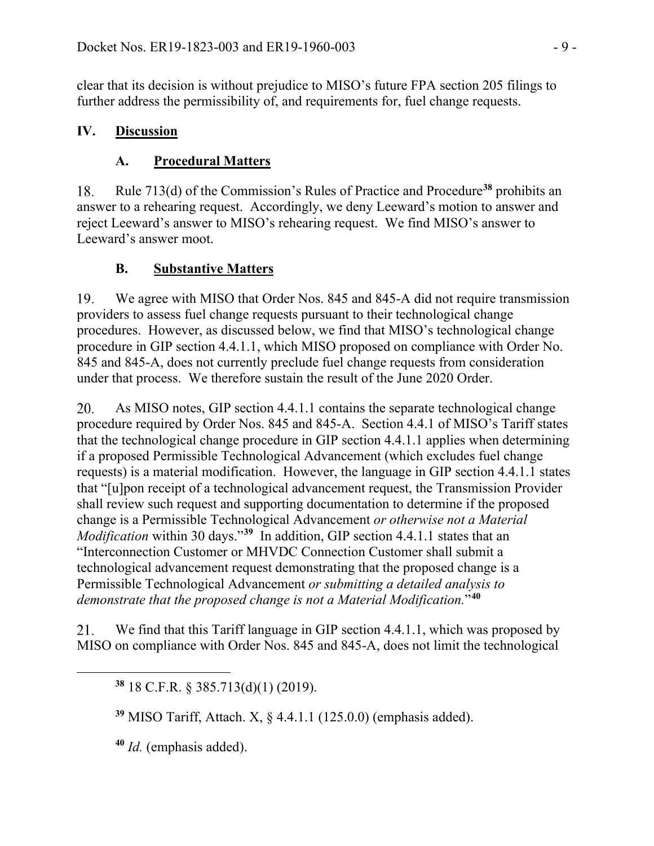clear that its decision is without prejudice to MISO's future FPA section 205 filings to further address the permissibility of, and requirements for, fuel change requests.

### **IV. Discussion**

## **A. Procedural Matters**

Rule 713(d) of the Commission's Rules of Practice and Procedure**[38](#page-8-0)** prohibits an 18. answer to a rehearing request. Accordingly, we deny Leeward's motion to answer and reject Leeward's answer to MISO's rehearing request. We find MISO's answer to Leeward's answer moot.

### **B. Substantive Matters**

19. We agree with MISO that Order Nos. 845 and 845-A did not require transmission providers to assess fuel change requests pursuant to their technological change procedures. However, as discussed below, we find that MISO's technological change procedure in GIP section 4.4.1.1, which MISO proposed on compliance with Order No. 845 and 845-A, does not currently preclude fuel change requests from consideration under that process. We therefore sustain the result of the June 2020 Order.

20. As MISO notes, GIP section 4.4.1.1 contains the separate technological change procedure required by Order Nos. 845 and 845-A. Section 4.4.1 of MISO's Tariff states that the technological change procedure in GIP section 4.4.1.1 applies when determining if a proposed Permissible Technological Advancement (which excludes fuel change requests) is a material modification. However, the language in GIP section 4.4.1.1 states that "[u]pon receipt of a technological advancement request, the Transmission Provider shall review such request and supporting documentation to determine if the proposed change is a Permissible Technological Advancement *or otherwise not a Material Modification* within 30 days."**[39](#page-8-1)** In addition, GIP section 4.4.1.1 states that an "Interconnection Customer or MHVDC Connection Customer shall submit a technological advancement request demonstrating that the proposed change is a Permissible Technological Advancement *or submitting a detailed analysis to demonstrate that the proposed change is not a Material Modification.*"**[40](#page-8-2)**

<span id="page-8-0"></span>21. We find that this Tariff language in GIP section 4.4.1.1, which was proposed by MISO on compliance with Order Nos. 845 and 845-A, does not limit the technological

**<sup>38</sup>** 18 C.F.R. § 385.713(d)(1) (2019).

<span id="page-8-1"></span>**<sup>39</sup>** MISO Tariff, Attach. X, § 4.4.1.1 (125.0.0) (emphasis added).

<span id="page-8-2"></span>**<sup>40</sup>** *Id.* (emphasis added).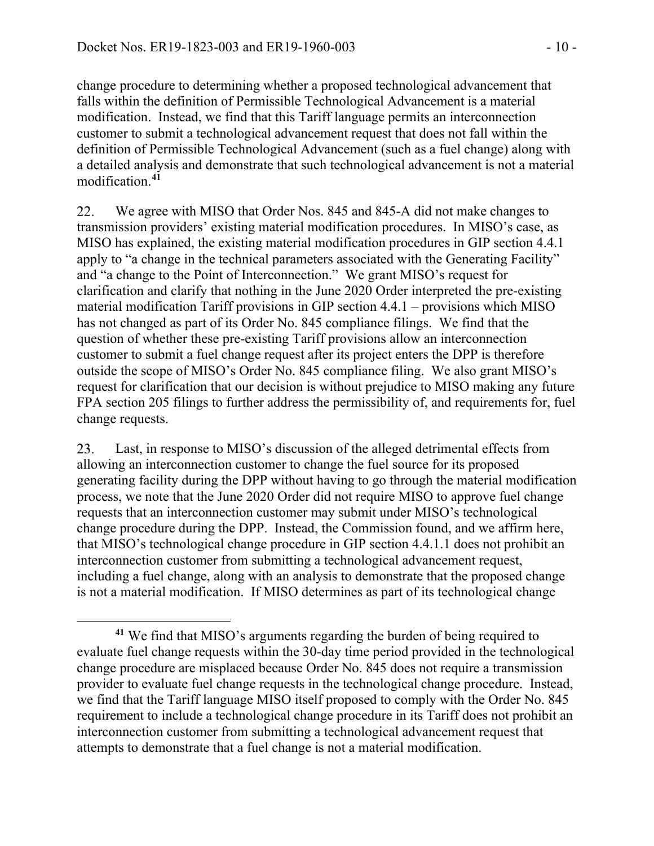change procedure to determining whether a proposed technological advancement that falls within the definition of Permissible Technological Advancement is a material modification. Instead, we find that this Tariff language permits an interconnection customer to submit a technological advancement request that does not fall within the definition of Permissible Technological Advancement (such as a fuel change) along with a detailed analysis and demonstrate that such technological advancement is not a material modification.**[41](#page-9-0)**

22. We agree with MISO that Order Nos. 845 and 845-A did not make changes to transmission providers' existing material modification procedures. In MISO's case, as MISO has explained, the existing material modification procedures in GIP section 4.4.1 apply to "a change in the technical parameters associated with the Generating Facility" and "a change to the Point of Interconnection." We grant MISO's request for clarification and clarify that nothing in the June 2020 Order interpreted the pre-existing material modification Tariff provisions in GIP section 4.4.1 – provisions which MISO has not changed as part of its Order No. 845 compliance filings. We find that the question of whether these pre-existing Tariff provisions allow an interconnection customer to submit a fuel change request after its project enters the DPP is therefore outside the scope of MISO's Order No. 845 compliance filing. We also grant MISO's request for clarification that our decision is without prejudice to MISO making any future FPA section 205 filings to further address the permissibility of, and requirements for, fuel change requests.

23. Last, in response to MISO's discussion of the alleged detrimental effects from allowing an interconnection customer to change the fuel source for its proposed generating facility during the DPP without having to go through the material modification process, we note that the June 2020 Order did not require MISO to approve fuel change requests that an interconnection customer may submit under MISO's technological change procedure during the DPP. Instead, the Commission found, and we affirm here, that MISO's technological change procedure in GIP section 4.4.1.1 does not prohibit an interconnection customer from submitting a technological advancement request, including a fuel change, along with an analysis to demonstrate that the proposed change is not a material modification. If MISO determines as part of its technological change

<span id="page-9-0"></span>**<sup>41</sup>** We find that MISO's arguments regarding the burden of being required to evaluate fuel change requests within the 30-day time period provided in the technological change procedure are misplaced because Order No. 845 does not require a transmission provider to evaluate fuel change requests in the technological change procedure. Instead, we find that the Tariff language MISO itself proposed to comply with the Order No. 845 requirement to include a technological change procedure in its Tariff does not prohibit an interconnection customer from submitting a technological advancement request that attempts to demonstrate that a fuel change is not a material modification.